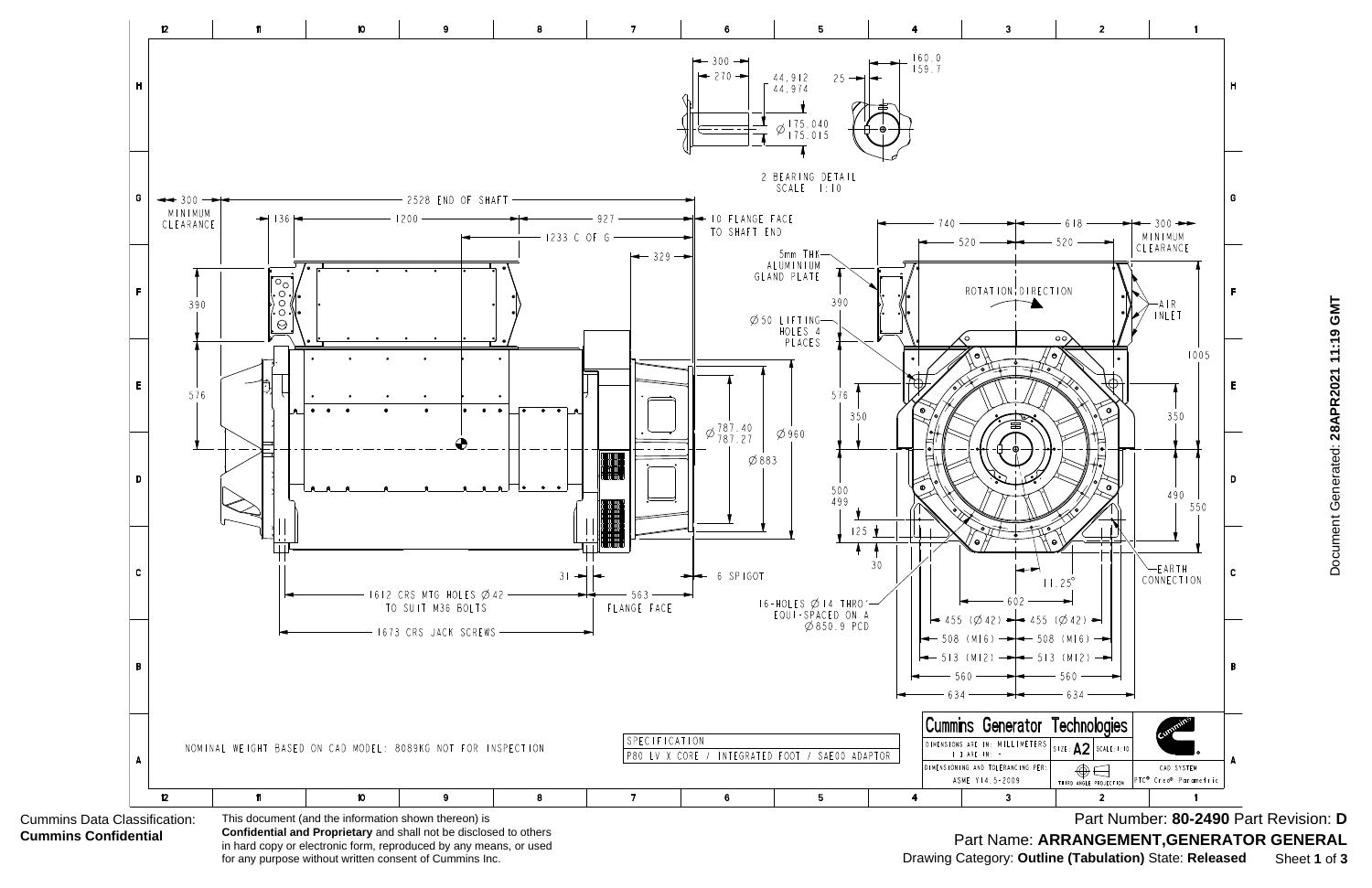

**Confidential and Proprietary** and shall not be disclosed to others in hard copy or electronic form, reproduced by any means, or used for any purpose without written consent of Cummins Inc.

Document Generated: 28APR2021 11:19 GMT Document Generated: **28APR2021 11:19 GMT**

Part Number: **80-2490** Part Revision: **D** Part Name: **ARRANGEMENT,GENERATOR GENERAL** Drawing Category: **Outline (Tabulation)** State: **Released** Sheet **1** of **3**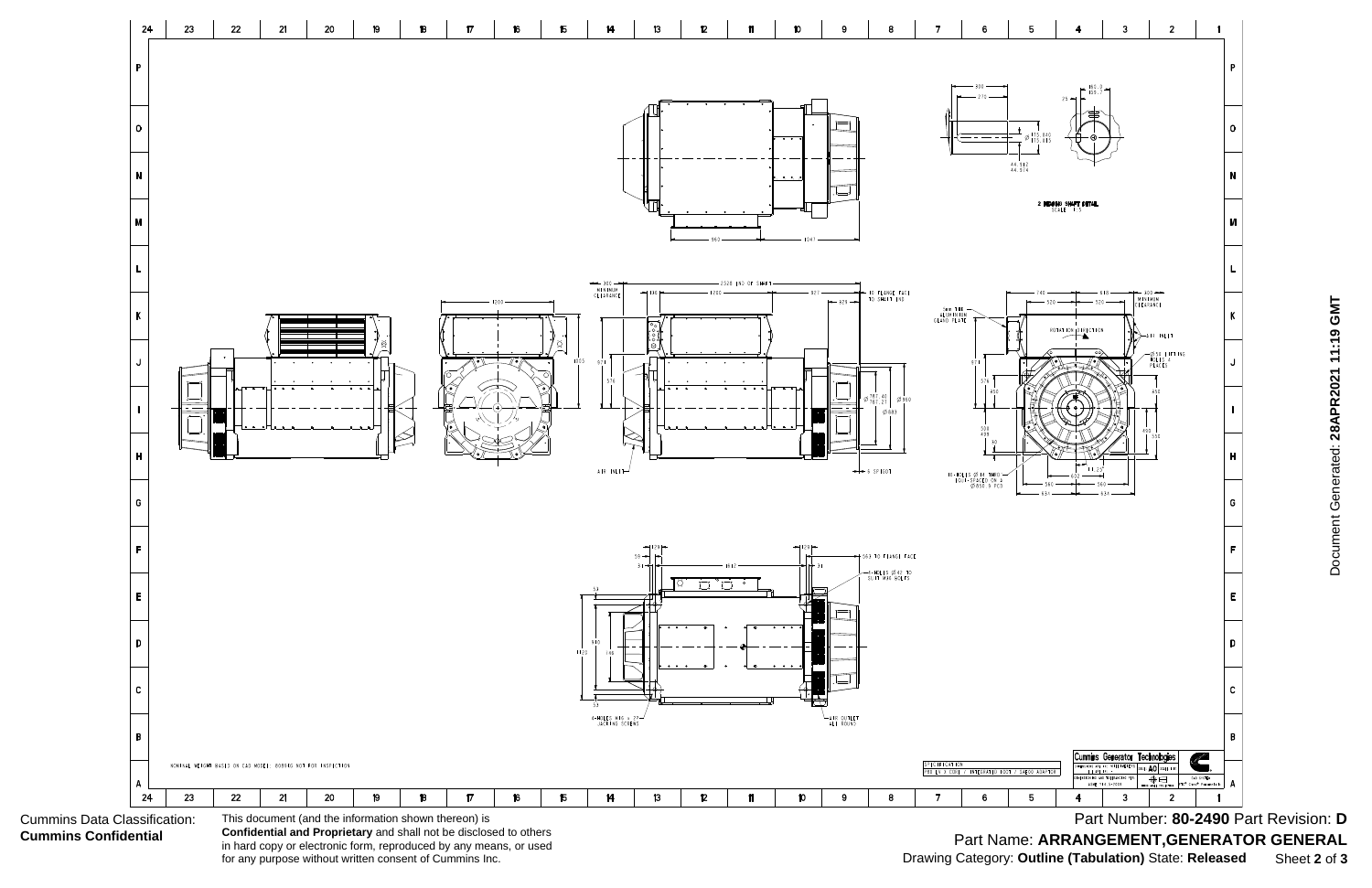Cummins Data Classification: **Cummins Confidential**



**Confidential and Proprietary** and shall not be disclosed to others in hard copy or electronic form, reproduced by any means, or used for any purpose without written consent of Cummins Inc.

Document Generated: 28APR2021 11:19 GMT Document Generated: **28APR2021 11:19 GMT**

Part Number: **80-2490** Part Revision: **D** Part Name: **ARRANGEMENT,GENERATOR GENERAL** Drawing Category: **Outline (Tabulation)** State: **Released** Sheet **2** of **3**